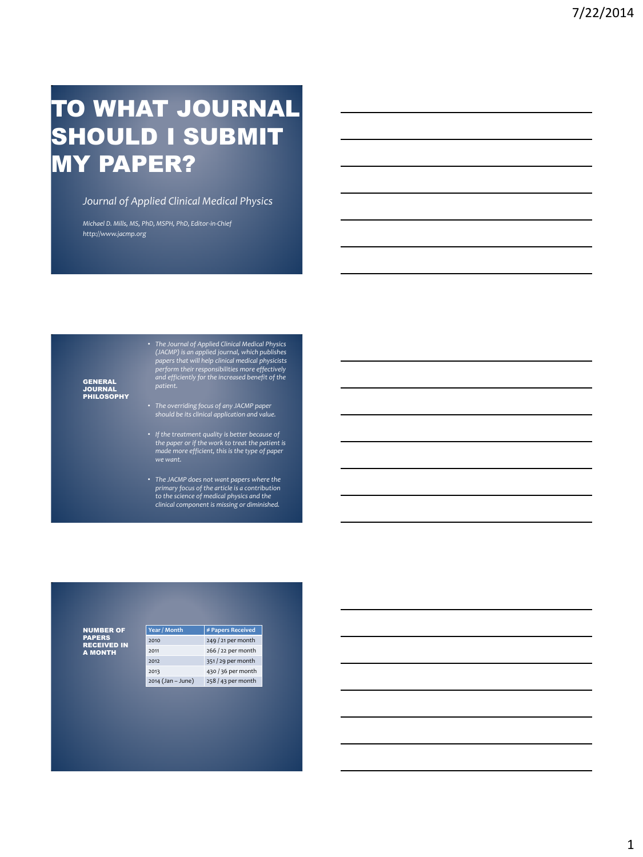# TO WHAT JOURNAL SHOULD I SUBMIT MY PAPER?

### *Journal of Applied Clinical Medical Physics*

*Michael D. Mills, MS, PhD, MSPH, PhD, Editor-in-Chief http://www.jacmp.org*

GENERAL<br>JOURNAL<br>PHILOSOPHY

• The Journal of Applied Clinical Medical Physics<br>(JACMP) is an applied journal, which publishes<br>papers that will help clinical medical physicists<br>perform their responsibilities more effectively<br>and efficiently for the inc

- *The overriding focus of any JACMP paper should be its clinical application and value.*
- *If the treatment quality is better because of the paper or if the work to treat the patient is made more efficient, this is the type of paper we want.*
- *The JACMP does not want papers where the primary focus of the article is a contribution to the science of medical physics and the clinical component is missing or diminished.*

NUMBER OF PAPERS RECEIVED IN A MONTH

| Year / Month      | # Papers Received  |
|-------------------|--------------------|
| 2010              | 249 / 21 per month |
| 2011              | 266 / 22 per month |
| 2012              | 351/29 per month   |
| 2013              | 430 / 36 per month |
| 2014 (Jan – June) | 258 / 43 per month |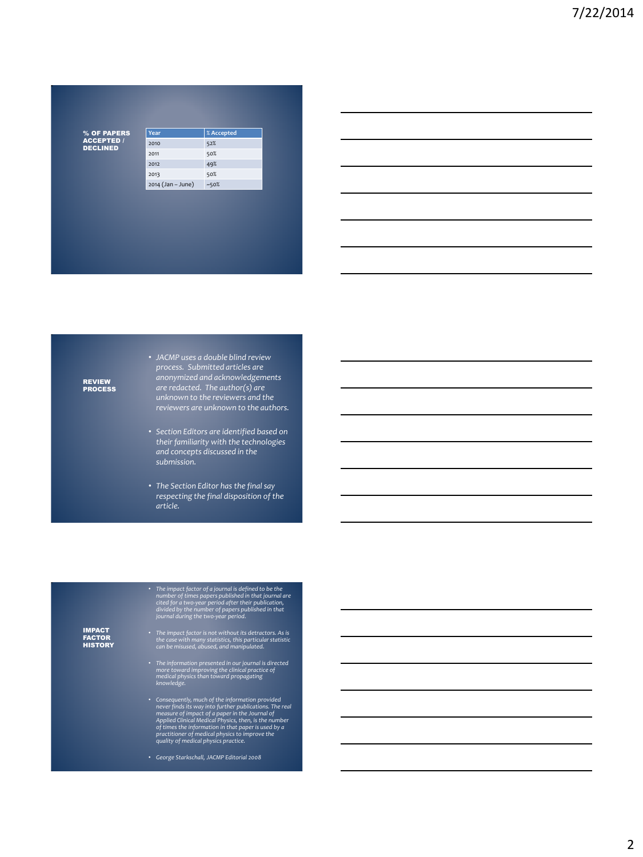% OF PAPERS ACCEPTED / DECLINED

| Year              | % Accepted |
|-------------------|------------|
| 2010              | 52%        |
| 2011              | 50%        |
| 2012              | 49%        |
| 2013              | 50%        |
| 2014 (Jan - June) | $-50%$     |

## REVIEW PROCESS

• *JACMP uses a double blind review process. Submitted articles are anonymized and acknowledgements are redacted. The author(s) are unknown to the reviewers and the reviewers are unknown to the authors.*

- *Section Editors are identified based on their familiarity with the technologies and concepts discussed in the submission.*
- *The Section Editor has the final say respecting the final disposition of the article.*

• The impact factor of a journal is defined to be the<br>number of times papers published in that journal are<br>cited for a two-year period after their publication,<br>divided by the number of papers published in that<br>journal duri

IMPACT FACTOR **HISTORY** 

- *The impact factor is not without its detractors. As is the case with many statistics, this particular statistic can be misused, abused, and manipulated.*
- *The information presented in our journal is directed more toward improving the clinical practice of medical physics than toward propagating knowledge.*
- Consequently, much of the information provided<br>never finds its way into further publications. The real<br>measure of impact of a paper in the Journal of<br>Applied Clinical Medical Physics, then, is the number<br>of times the info
- *George Starkschall, JACMP Editorial 2008*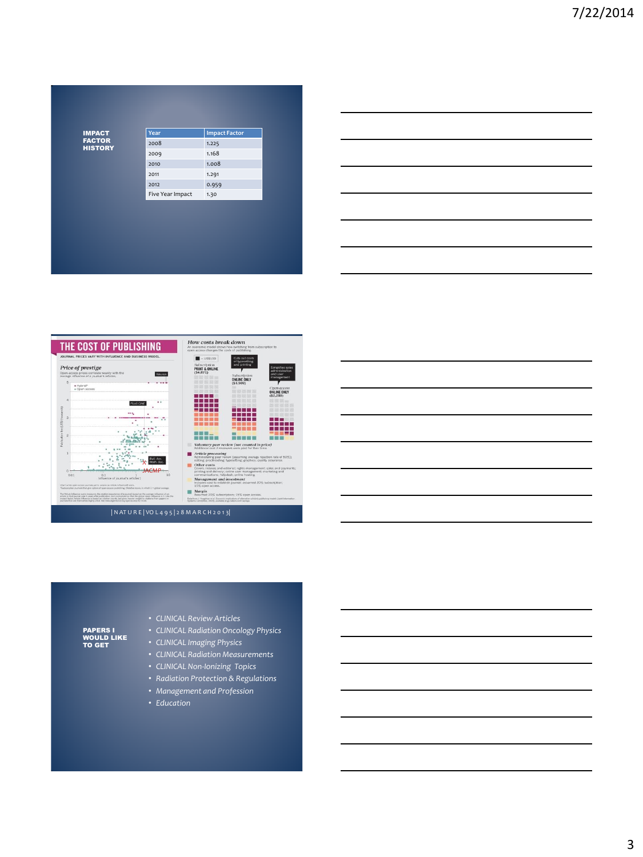IMPACT FACTOR HISTORY

| Year             | <b>Impact Factor</b> |
|------------------|----------------------|
| 2008             | 1.225                |
| 2009             | 1.168                |
| 2010             | 1.008                |
| 2011             | 1.291                |
| 2012             | 0.959                |
| Five Year Impact | 1.30                 |





PAPERS I<br>WOULD LIKE TO GET

- *CLINICAL Review Articles*
- *CLINICAL Radiation Oncology Physics*
- *CLINICAL Imaging Physics*
- *CLINICAL Radiation Measurements*
- *CLINICAL Non-Ionizing Topics*
- *Radiation Protection & Regulations*
- *Management and Profession*
- *Education*